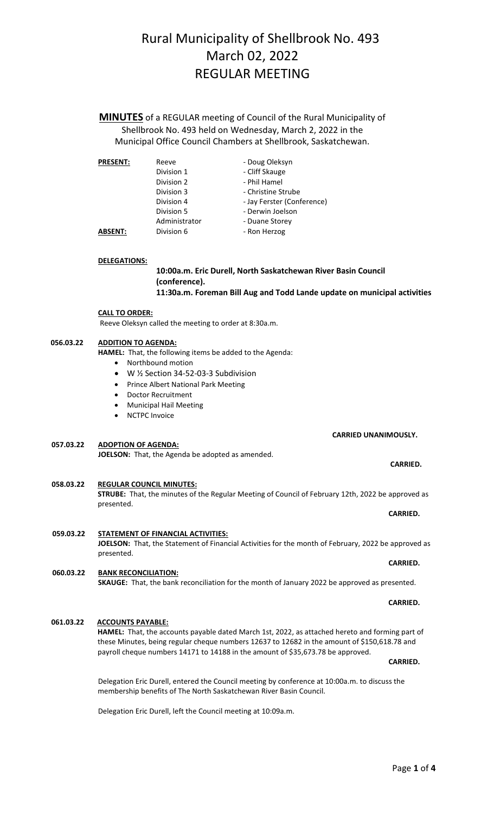**MINUTES** of a REGULAR meeting of Council of the Rural Municipality of Shellbrook No. 493 held on Wednesday, March 2, 2022 in the Municipal Office Council Chambers at Shellbrook, Saskatchewan.

| <b>PRESENT:</b> | Reeve         | - Doug Oleksyn             |
|-----------------|---------------|----------------------------|
|                 | Division 1    | - Cliff Skauge             |
|                 | Division 2    | - Phil Hamel               |
|                 | Division 3    | - Christine Strube         |
|                 | Division 4    | - Jay Ferster (Conference) |
|                 | Division 5    | - Derwin Joelson           |
|                 | Administrator | - Duane Storey             |
| <b>ABSENT:</b>  | Division 6    | - Ron Herzog               |

### **DELEGATIONS:**

## **10:00a.m. Eric Durell, North Saskatchewan River Basin Council (conference).**

**11:30a.m. Foreman Bill Aug and Todd Lande update on municipal activities**

## **CALL TO ORDER:**

Reeve Oleksyn called the meeting to order at 8:30a.m.

### **056.03.22 ADDITION TO AGENDA:**

**HAMEL:** That, the following items be added to the Agenda:

- Northbound motion
- W ½ Section 34-52-03-3 Subdivision
- Prince Albert National Park Meeting
- Doctor Recruitment
- Municipal Hail Meeting
- NCTPC Invoice

 **CARRIED UNANIMOUSLY.**

### **057.03.22 JOELSON:** That, the Agenda be adopted as amended. **ADOPTION OF AGENDA:**

**058.03.22 STRUBE:** That, the minutes of the Regular Meeting of Council of February 12th, 2022 be approved as presented. **REGULAR COUNCIL MINUTES: CARRIED.** 

**059.03.22 STATEMENT OF FINANCIAL ACTIVITIES:**

**JOELSON:** That, the Statement of Financial Activities for the month of February, 2022 be approved as presented. **CARRIED.**

### **060.03.22 BANK RECONCILIATION:**

**SKAUGE:** That, the bank reconciliation for the month of January 2022 be approved as presented.

### **061.03.22 ACCOUNTS PAYABLE:**

**HAMEL:** That, the accounts payable dated March 1st, 2022, as attached hereto and forming part of these Minutes, being regular cheque numbers 12637 to 12682 in the amount of \$150,618.78 and payroll cheque numbers 14171 to 14188 in the amount of \$35,673.78 be approved.

Delegation Eric Durell, entered the Council meeting by conference at 10:00a.m. to discuss the membership benefits of The North Saskatchewan River Basin Council.

Delegation Eric Durell, left the Council meeting at 10:09a.m.

**CARRIED.**

## **CARRIED.**

**CARRIED.**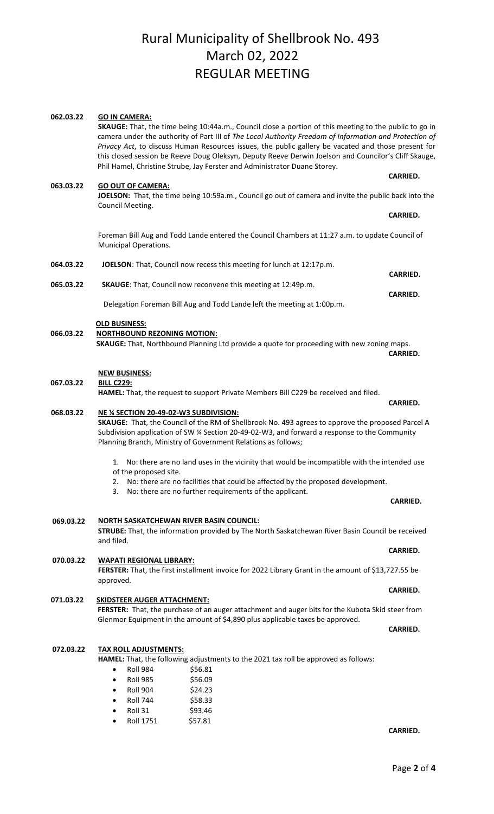### **062.03.22 SKAUGE:** That, the time being 10:44a.m., Council close a portion of this meeting to the public to go in camera under the authority of Part III of *The Local Authority Freedom of Information and Protection of Privacy Act*, to discuss Human Resources issues, the public gallery be vacated and those present for this closed session be Reeve Doug Oleksyn, Deputy Reeve Derwin Joelson and Councilor's Cliff Skauge, Phil Hamel, Christine Strube, Jay Ferster and Administrator Duane Storey. **GO IN CAMERA: CARRIED. 063.03.22 JOELSON:** That, the time being 10:59a.m., Council go out of camera and invite the public back into the Council Meeting. **GO OUT OF CAMERA: CARRIED.** Foreman Bill Aug and Todd Lande entered the Council Chambers at 11:27 a.m. to update Council of Municipal Operations. **064.03.22 JOELSON**: That, Council now recess this meeting for lunch at 12:17p.m. **CARRIED. 065.03.22 SKAUGE**: That, Council now reconvene this meeting at 12:49p.m. **CARRIED.** Delegation Foreman Bill Aug and Todd Lande left the meeting at 1:00p.m. **066.03.22 OLD BUSINESS: SKAUGE:** That, Northbound Planning Ltd provide a quote for proceeding with new zoning maps. **NORTHBOUND REZONING MOTION: CARRIED. CARRIED. 067.03.22 NEW BUSINESS: HAMEL:** That, the request to support Private Members Bill C229 be received and filed. **BILL C229: CARRIED. 068.03.22 SKAUGE:** That, the Council of the RM of Shellbrook No. 493 agrees to approve the proposed Parcel A Subdivision application of SW ¼ Section 20-49-02-W3, and forward a response to the Community Planning Branch, Ministry of Government Relations as follows; **NE ¼ SECTION 20-49-02-W3 SUBDIVISION:** 1. No: there are no land uses in the vicinity that would be incompatible with the intended use of the proposed site. 2. No: there are no facilities that could be affected by the proposed development. 3. No: there are no further requirements of the applicant. **CARRIED. 069.03.22 STRUBE:** That, the information provided by The North Saskatchewan River Basin Council be received and filed. **NORTH SASKATCHEWAN RIVER BASIN COUNCIL: CARRIED. CARRIED. 070.03.22**  FERSTER: That, the first installment invoice for 2022 Library Grant in the amount of \$13,727.55 be approved. **WAPATI REGIONAL LIBRARY: CARRIED. CARRIED. 071.03.22 FERSTER:** That, the purchase of an auger attachment and auger bits for the Kubota Skid steer from Glenmor Equipment in the amount of \$4,890 plus applicable taxes be approved. **SKIDSTEER AUGER ATTACHMENT: CARRIED. 072.03.22 HAMEL:** That, the following adjustments to the 2021 tax roll be approved as follows: **TAX ROLL ADJUSTMENTS:** • Roll 984 \$56.81 • Roll 985 \$56.09 • Roll 904 \$24.23 • Roll 744 \$58.33 • Roll 31 \$93.46 • Roll 1751 \$57.81

**CARRIED. CARRIED.**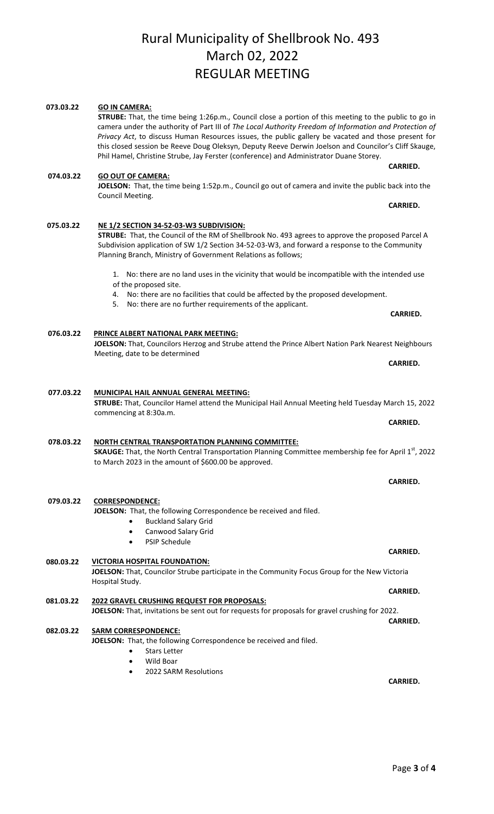#### **073.03.22 GO IN CAMERA:**

**STRUBE:** That, the time being 1:26p.m., Council close a portion of this meeting to the public to go in camera under the authority of Part III of *The Local Authority Freedom of Information and Protection of Privacy Act*, to discuss Human Resources issues, the public gallery be vacated and those present for this closed session be Reeve Doug Oleksyn, Deputy Reeve Derwin Joelson and Councilor's Cliff Skauge, Phil Hamel, Christine Strube, Jay Ferster (conference) and Administrator Duane Storey.

#### **074.03.22 GO OUT OF CAMERA:**

**075.03.22**

**076.03.22** 

**077.03.22** 

**JOELSON:** That, the time being 1:52p.m., Council go out of camera and invite the public back into the Council Meeting.

**STRUBE:** That, the Council of the RM of Shellbrook No. 493 agrees to approve the proposed Parcel A Subdivision application of SW 1/2 Section 34-52-03-W3, and forward a response to the Community Planning Branch, Ministry of Government Relations as follows; **NE 1/2 SECTION 34-52-03-W3 SUBDIVISION:**

1. No: there are no land uses in the vicinity that would be incompatible with the intended use of the proposed site.

4. No: there are no facilities that could be affected by the proposed development.

5. No: there are no further requirements of the applicant.

**JOELSON:** That, Councilors Herzog and Strube attend the Prince Albert Nation Park Nearest Neighbours Meeting, date to be determined **PRINCE ALBERT NATIONAL PARK MEETING:**

**STRUBE:** That, Councilor Hamel attend the Municipal Hail Annual Meeting held Tuesday March 15, 2022 commencing at 8:30a.m. **MUNICIPAL HAIL ANNUAL GENERAL MEETING:**

**078.03.22 SKAUGE:** That, the North Central Transportation Planning Committee membership fee for April 1<sup>st</sup>, 2022 to March 2023 in the amount of \$600.00 be approved. **NORTH CENTRAL TRANSPORTATION PLANNING COMMITTEE:**

**079.03.22 CORRESPONDENCE:**

**JOELSON:** That, the following Correspondence be received and filed.

- Buckland Salary Grid
- Canwood Salary Grid
- PSIP Schedule

### **080.03.22 JOELSON:** That, Councilor Strube participate in the Community Focus Group for the New Victoria Hospital Study. **VICTORIA HOSPITAL FOUNDATION:**

**081.03.22 JOELSON:** That, invitations be sent out for requests for proposals for gravel crushing for 2022. **2022 GRAVEL CRUSHING REQUEST FOR PROPOSALS: CARRIED. CARRIED.** 

#### **082.03.22 SARM CORRESPONDENCE:**

- **JOELSON:** That, the following Correspondence be received and filed.
	- **Stars Letter**
	- Wild Boar
	- 2022 SARM Resolutions

### **CARRIED.**

**CARRIED.**

**CARRIED.**

**CARRIED.**

**CARRIED. CARRIED.** 

**CARRIED.**

**CARRIED.**

**CARRIED.**

**CARRIED.**